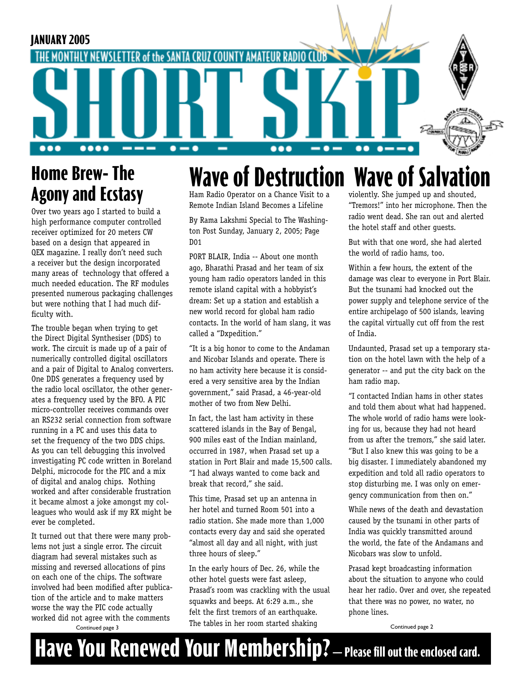

## **Home Brew- The Agony and Ecstasy**

Over two years ago I started to build a high performance computer controlled receiver optimized for 20 meters CW based on a design that appeared in QEX magazine. I really don't need such a receiver but the design incorporated many areas of technology that offered a much needed education. The RF modules presented numerous packaging challenges but were nothing that I had much difficulty with.

The trouble began when trying to get the Direct Digital Synthesiser (DDS) to work. The circuit is made up of a pair of numerically controlled digital oscillators and a pair of Digital to Analog converters. One DDS generates a frequency used by the radio local oscillator, the other generates a frequency used by the BFO. A PIC micro-controller receives commands over an RS232 serial connection from software running in a PC and uses this data to set the frequency of the two DDS chips. As you can tell debugging this involved investigating PC code written in Boreland Delphi, microcode for the PIC and a mix of digital and analog chips. Nothing worked and after considerable frustration it became almost a joke amongst my colleagues who would ask if my RX might be ever be completed.

Continued page 3 It turned out that there were many problems not just a single error. The circuit diagram had several mistakes such as missing and reversed allocations of pins on each one of the chips. The software involved had been modified after publication of the article and to make matters worse the way the PIC code actually worked did not agree with the comments

#### Ham Radio Operator on a Chance Visit to a **Wave of Destruction Wave of Salvation** violently. She jumped up and shouted,

Remote Indian Island Becomes a Lifeline

By Rama Lakshmi Special to The Washington Post Sunday, January 2, 2005; Page D01

PORT BLAIR, India -- About one month ago, Bharathi Prasad and her team of six young ham radio operators landed in this remote island capital with a hobbyist's dream: Set up a station and establish a new world record for global ham radio contacts. In the world of ham slang, it was called a "Dxpedition."

"It is a big honor to come to the Andaman and Nicobar Islands and operate. There is no ham activity here because it is considered a very sensitive area by the Indian government," said Prasad, a 46-year-old mother of two from New Delhi.

In fact, the last ham activity in these scattered islands in the Bay of Bengal, 900 miles east of the Indian mainland, occurred in 1987, when Prasad set up a station in Port Blair and made 15,500 calls. "I had always wanted to come back and break that record," she said.

This time, Prasad set up an antenna in her hotel and turned Room 501 into a radio station. She made more than 1,000 contacts every day and said she operated "almost all day and all night, with just three hours of sleep."

In the early hours of Dec. 26, while the other hotel guests were fast asleep, Prasad's room was crackling with the usual squawks and beeps. At 6:29 a.m., she felt the first tremors of an earthquake. The tables in her room started shaking

"Tremors!" into her microphone. Then the radio went dead. She ran out and alerted the hotel staff and other guests.

But with that one word, she had alerted the world of radio hams, too.

Within a few hours, the extent of the damage was clear to everyone in Port Blair. But the tsunami had knocked out the power supply and telephone service of the entire archipelago of 500 islands, leaving the capital virtually cut off from the rest of India.

Undaunted, Prasad set up a temporary station on the hotel lawn with the help of a generator -- and put the city back on the ham radio map.

"I contacted Indian hams in other states and told them about what had happened. The whole world of radio hams were looking for us, because they had not heard from us after the tremors," she said later. "But I also knew this was going to be a big disaster. I immediately abandoned my expedition and told all radio operators to stop disturbing me. I was only on emergency communication from then on."

While news of the death and devastation caused by the tsunami in other parts of India was quickly transmitted around the world, the fate of the Andamans and Nicobars was slow to unfold.

Prasad kept broadcasting information about the situation to anyone who could hear her radio. Over and over, she repeated that there was no power, no water, no phone lines.

Continued page 2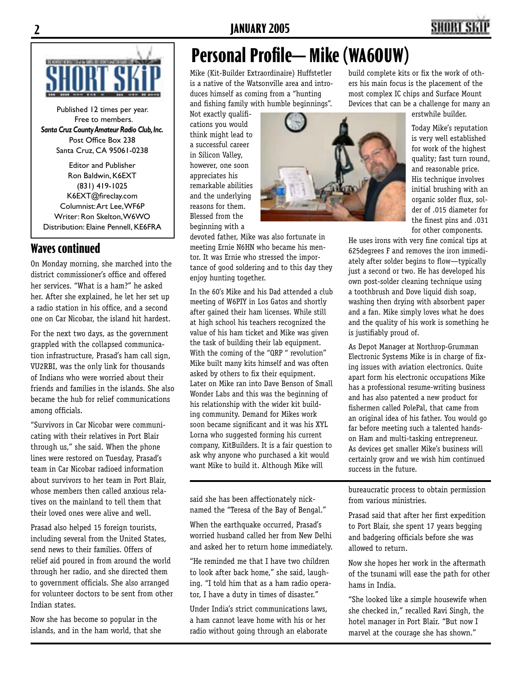



Published 12 times per year. Free to members. *Santa Cruz County Amateur Radio Club, Inc.* Post Office Box 238 Santa Cruz, CA 95061-0238

Editor and Publisher Ron Baldwin, K6EXT (831) 419-1025 K6EXT@fireclay.com Columnist: Art Lee, WF6P Writer: Ron Skelton, W6WO Distribution: Elaine Pennell, KE6FRA

### **Waves continued**

On Monday morning, she marched into the district commissioner's office and offered her services. "What is a ham?" he asked her. After she explained, he let her set up a radio station in his office, and a second one on Car Nicobar, the island hit hardest.

For the next two days, as the government grappled with the collapsed communication infrastructure, Prasad's ham call sign, VU2RBI, was the only link for thousands of Indians who were worried about their friends and families in the islands. She also became the hub for relief communications among officials.

"Survivors in Car Nicobar were communicating with their relatives in Port Blair through us," she said. When the phone lines were restored on Tuesday, Prasad's team in Car Nicobar radioed information about survivors to her team in Port Blair, whose members then called anxious relatives on the mainland to tell them that their loved ones were alive and well.

Prasad also helped 15 foreign tourists, including several from the United States, send news to their families. Offers of relief aid poured in from around the world through her radio, and she directed them to government officials. She also arranged for volunteer doctors to be sent from other Indian states.

Now she has become so popular in the islands, and in the ham world, that she

## **Personal Profile— Mike (WA6OUW)**

Mike (Kit-Builder Extraordinaire) Huffstetler is a native of the Watsonville area and introduces himself as coming from a "hunting and fishing family with humble beginnings".

Not exactly qualifications you would think might lead to a successful career in Silicon Valley, however, one soon appreciates his remarkable abilities and the underlying reasons for them. Blessed from the beginning with a

devoted father, Mike was also fortunate in meeting Ernie N6HN who became his mentor. It was Ernie who stressed the importance of good soldering and to this day they enjoy hunting together.

In the 60's Mike and his Dad attended a club meeting of W6PIY in Los Gatos and shortly after gained their ham licenses. While still at high school his teachers recognized the value of his ham ticket and Mike was given the task of building their lab equipment. With the coming of the "QRP" revolution" Mike built many kits himself and was often asked by others to fix their equipment. Later on Mike ran into Dave Benson of Small Wonder Labs and this was the beginning of his relationship with the wider kit building community. Demand for Mikes work soon became significant and it was his XYL Lorna who suggested forming his current company, KitBuilders. It is a fair question to ask why anyone who purchased a kit would want Mike to build it. Although Mike will

said she has been affectionately nicknamed the "Teresa of the Bay of Bengal."

When the earthquake occurred, Prasad's worried husband called her from New Delhi and asked her to return home immediately.

"He reminded me that I have two children to look after back home," she said, laughing. "I told him that as a ham radio operator, I have a duty in times of disaster."

Under India's strict communications laws, a ham cannot leave home with his or her radio without going through an elaborate build complete kits or fix the work of others his main focus is the placement of the most complex IC chips and Surface Mount Devices that can be a challenge for many an

erstwhile builder.

Today Mike's reputation is very well established for work of the highest quality; fast turn round, and reasonable price. His technique involves initial brushing with an organic solder flux, solder of .015 diameter for the finest pins and .031 for other components.

He uses irons with very fine comical tips at 625degrees F and removes the iron immediately after solder begins to flow—typically just a second or two. He has developed his own post-solder cleaning technique using a toothbrush and Dove liquid dish soap, washing then drying with absorbent paper and a fan. Mike simply loves what he does and the quality of his work is something he is justifiably proud of.

As Depot Manager at Northrop-Grumman Electronic Systems Mike is in charge of fixing issues with aviation electronics. Quite apart form his electronic occupations Mike has a professional resume-writing business and has also patented a new product for fishermen called PolePal, that came from an original idea of his father. You would go far before meeting such a talented handson Ham and multi-tasking entrepreneur. As devices get smaller Mike's business will certainly grow and we wish him continued success in the future.

bureaucratic process to obtain permission from various ministries.

Prasad said that after her first expedition to Port Blair, she spent 17 years begging and badgering officials before she was allowed to return.

Now she hopes her work in the aftermath of the tsunami will ease the path for other hams in India.

"She looked like a simple housewife when she checked in," recalled Ravi Singh, the hotel manager in Port Blair. "But now I marvel at the courage she has shown."

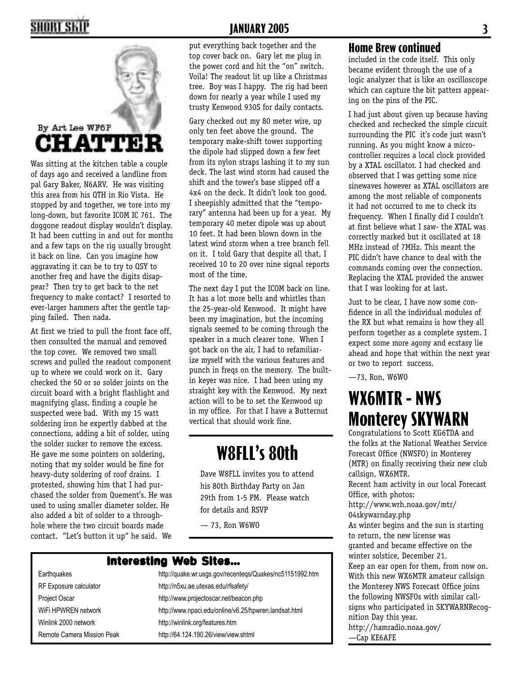# **2 JANUARY 2005 3**



Was sitting at the kitchen table a couple of days ago and received a landline from pal Gary Baker, N6ARV. He was visiting this area from his QTH in Rio Vista. He stopped by and together, we tore into my long-down, but favorite ICOM IC 761. The doggone readout display wouldn't display. It had been cutting in and out for months and a few taps on the rig usually brought it back on line. Can you imagine how aggravating it can be to try to QSY to another freq and have the digits disappear? Then try to get back to the net frequency to make contact? I resorted to ever-larger hammers after the gentle tapping failed. Then nada.

At first we tried to pull the front face off, then consulted the manual and removed the top cover. We removed two small screws and pulled the readout component up to where we could work on it. Gary checked the 50 or so solder joints on the circuit board with a bright flashlight and magnifying glass, finding a couple he suspected were bad. With my 15 watt soldering iron he expertly dabbed at the connections, adding a bit of solder, using the solder sucker to remove the excess. He gave me some pointers on soldering, noting that my solder would be fine for heavy-duty soldering of roof drains. I protested, showing him that I had purchased the solder from Quement's. He was used to using smaller diameter solder. He also added a bit of solder to a throughhole where the two circuit boards made contact. "Let's button it up" he said. We

put everything back together and the top cover back on. Gary let me plug in the power cord and hit the "on" switch. Voila! The readout lit up like a Christmas tree. Boy was I happy. The rig had been down for nearly a year while I used my trusty Kenwood 930S for daily contacts.

Gary checked out my 80 meter wire, up only ten feet above the ground. The temporary make-shift tower supporting the dipole had slipped down a few feet from its nylon straps lashing it to my sun deck. The last wind storm had caused the shift and the tower's base slipped off a 4x4 on the deck. It didn't look too good. I sheepishly admitted that the "temporary" antenna had been up for a year. My temporary 40 meter dipole was up about 10 feet. It had been blown down in the latest wind storm when a tree branch fell on it. I told Gary that despite all that, I received 10 to 20 over nine signal reports most of the time.

The next day I put the ICOM back on line. It has a lot more bells and whistles than the 25-year-old Kenwood. It might have been my imagination, but the incoming signals seemed to be coming through the speaker in a much clearer tone. When I got back on the air, I had to refamiliarize myself with the various features and punch in freqs on the memory. The builtin keyer was nice. I had been using my straight key with the Kenwood. My next action will to be to set the Kenwood up in my office. For that I have a Butternut vertical that should work fine.

## **W8FLL's 80th**

Dave W8FLL invites you to attend his 80th Birthday Party on Jan 29th from 1-5 PM. Please watch for details and RSVP

— 73, Ron W6WO

#### **Interesting Web Sites...**

Winlink 2000 network http://winlink.org/features.htm

Earthquakes http://quake.wr.usgs.gov/recenteqs/Quakes/nc51151992.htm RF Exposure calculator http://n5xu.ae.utexas.edu/rfsafety/ Project Oscar http://www.projectoscar.net/beacon.php WiFi HPWREN network http://www.npaci.edu/online/v6.25/hpwren.landsat.html Remote Camera Mission Peak http://64.124.190.26/view/view.shtml

### **Home Brew continued**

included in the code itself. This only became evident through the use of a logic analyzer that is like an oscilloscope which can capture the bit patters appearing on the pins of the PIC.

I had just about given up because having checked and rechecked the simple circuit surrounding the PIC it's code just wasn't running. As you might know a microcontroller requires a local clock provided by a XTAL oscillator. I had checked and observed that I was getting some nice sinewaves however as XTAL oscillators are among the most reliable of components it had not occurred to me to check its frequency. When I finally did I couldn't at first believe what I saw- the XTAL was correctly marked but it oscillated at 18 MHz instead of 7MHz. This meant the PIC didn't have chance to deal with the commands coming over the connection. Replacing the XTAL provided the answer that I was looking for at last.

Just to be clear, I have now some confidence in all the individual modules of the RX but what remains is how they all perform together as a complete system. I expect some more agony and ecstasy lie ahead and hope that within the next year or two to report success.

—73, Ron, W6WO

## **WX6MTR - NWS Monterey SKYWARN**

Congratulations to Scott KG6TDA and the folks at the National Weather Service Forecast Office (NWSFO) in Monterey (MTR) on finally receiving their new club callsign, WX6MTR.

Recent ham activity in our local Forecast Office, with photos:

http://www.wrh.noaa.gov/mtr/ 04skywarnday.php

As winter begins and the sun is starting to return, the new license was granted and became effective on the

winter solstice, December 21. Keep an ear open for them, from now on. With this new WX6MTR amateur callsign the Monterey NWS Forecast Office joins the following NWSFOs with similar callsigns who participated in SKYWARNRecognition Day this year.

http://hamradio.noaa.gov/

—Cap KE6AFE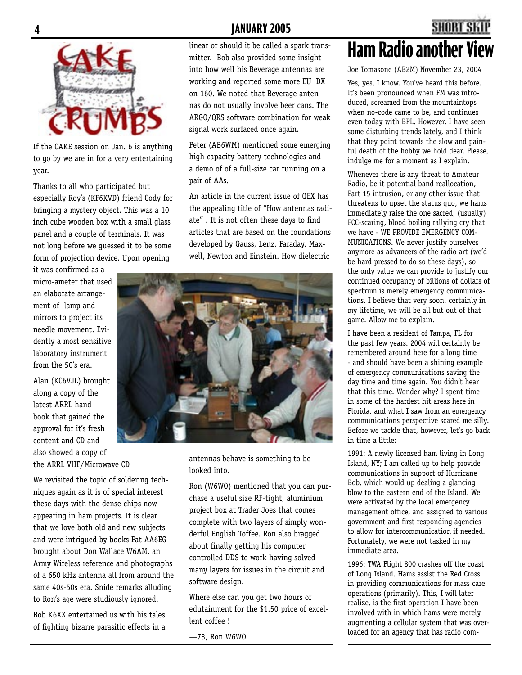If the CAKE session on Jan. 6 is anything to go by we are in for a very entertaining year.

Thanks to all who participated but especially Roy's (KF6KVD) friend Cody for bringing a mystery object. This was a 10 inch cube wooden box with a small glass panel and a couple of terminals. It was not long before we guessed it to be some form of projection device. Upon opening

it was confirmed as a micro-ameter that used an elaborate arrangement of lamp and mirrors to project its needle movement. Evidently a most sensitive laboratory instrument from the 50's era.

Alan (KC6VJL) brought along a copy of the latest ARRL handbook that gained the approval for it's fresh content and CD and also showed a copy of the ARRL VHF/Microwave CD

We revisited the topic of soldering techniques again as it is of special interest these days with the dense chips now appearing in ham projects. It is clear that we love both old and new subjects and were intrigued by books Pat AA6EG brought about Don Wallace W6AM, an Army Wireless reference and photographs of a 650 kHz antenna all from around the same 40s-50s era. Snide remarks alluding to Ron's age were studiously ignored.

Bob K6XX entertained us with his tales of fighting bizarre parasitic effects in a

linear or should it be called a spark transmitter. Bob also provided some insight into how well his Beverage antennas are working and reported some more EU DX on 160. We noted that Beverage antennas do not usually involve beer cans. The ARGO/QRS software combination for weak signal work surfaced once again.

Peter (AB6WM) mentioned some emerging high capacity battery technologies and a demo of of a full-size car running on a pair of AAs.

An article in the current issue of QEX has the appealing title of "How antennas radiate" . It is not often these days to find articles that are based on the foundations developed by Gauss, Lenz, Faraday, Maxwell, Newton and Einstein. How dielectric



antennas behave is something to be looked into.

Ron (W6WO) mentioned that you can purchase a useful size RF-tight, aluminium project box at Trader Joes that comes complete with two layers of simply wonderful English Toffee. Ron also bragged about finally getting his computer controlled DDS to work having solved many layers for issues in the circuit and software design.

Where else can you get two hours of edutainment for the \$1.50 price of excellent coffee !

—73, Ron W6WO

## **Ham Radio another 4 JANUARY 2005 5**

Joe Tomasone (AB2M) November 23, 2004

Yes, yes, I know. You've heard this before. It's been pronounced when FM was introduced, screamed from the mountaintops when no-code came to be, and continues even today with BPL. However, I have seen some disturbing trends lately, and I think that they point towards the slow and painful death of the hobby we hold dear. Please, indulge me for a moment as I explain.

Whenever there is any threat to Amateur Radio, be it potential band reallocation, Part 15 intrusion, or any other issue that threatens to upset the status quo, we hams immediately raise the one sacred, (usually) FCC-scaring, blood boiling rallying cry that we have - WE PROVIDE EMERGENCY COM-MUNICATIONS. We never justify ourselves anymore as advancers of the radio art (we'd be hard pressed to do so these days), so the only value we can provide to justify our continued occupancy of billions of dollars of spectrum is merely emergency communications. I believe that very soon, certainly in my lifetime, we will be all but out of that game. Allow me to explain.

I have been a resident of Tampa, FL for the past few years. 2004 will certainly be remembered around here for a long time - and should have been a shining example of emergency communications saving the day time and time again. You didn't hear that this time. Wonder why? I spent time in some of the hardest hit areas here in Florida, and what I saw from an emergency communications perspective scared me silly. Before we tackle that, however, let's go back in time a little:

1991: A newly licensed ham living in Long Island, NY; I am called up to help provide communications in support of Hurricane Bob, which would up dealing a glancing blow to the eastern end of the Island. We were activated by the local emergency management office, and assigned to various government and first responding agencies to allow for intercommunication if needed. Fortunately, we were not tasked in my immediate area.

1996: TWA Flight 800 crashes off the coast of Long Island. Hams assist the Red Cross in providing communications for mass care operations (primarily). This, I will later realize, is the first operation I have been involved with in which hams were merely augmenting a cellular system that was overloaded for an agency that has radio com-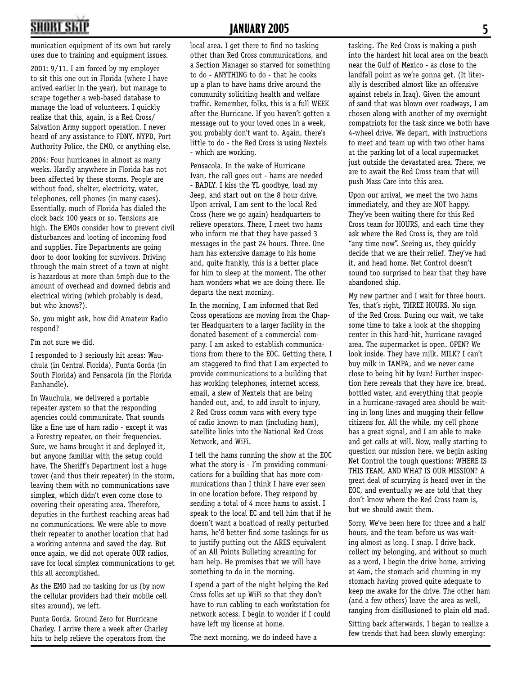# **4 JANUARY 2005 5**

munication equipment of its own but rarely uses due to training and equipment issues.

2001: 9/11. I am forced by my employer to sit this one out in Florida (where I have arrived earlier in the year), but manage to scrape together a web-based database to manage the load of volunteers. I quickly realize that this, again, is a Red Cross/ Salvation Army support operation. I never heard of any assistance to FDNY, NYPD, Port Authority Police, the EMO, or anything else.

2004: Four hurricanes in almost as many weeks. Hardly anywhere in Florida has not been affected by these storms. People are without food, shelter, electricity, water, telephones, cell phones (in many cases). Essentially, much of Florida has dialed the clock back 100 years or so. Tensions are high. The EMOs consider how to prevent civil disturbances and looting of incoming food and supplies. Fire Departments are going door to door looking for survivors. Driving through the main street of a town at night is hazardous at more than 5mph due to the amount of overhead and downed debris and electrical wiring (which probably is dead, but who knows?).

So, you might ask, how did Amateur Radio respond?

I'm not sure we did.

I responded to 3 seriously hit areas: Wauchula (in Central Florida), Punta Gorda (in South Florida) and Pensacola (in the Florida Panhandle).

In Wauchula, we delivered a portable repeater system so that the responding agencies could communicate. That sounds like a fine use of ham radio - except it was a Forestry repeater, on their frequencies. Sure, we hams brought it and deployed it, but anyone familiar with the setup could have. The Sheriff's Department lost a huge tower (and thus their repeater) in the storm, leaving them with no communications save simplex, which didn't even come close to covering their operating area. Therefore, deputies in the furthest reaching areas had no communications. We were able to move their repeater to another location that had a working antenna and saved the day. But once again, we did not operate OUR radios, save for local simplex communications to get this all accomplished.

As the EMO had no tasking for us (by now the cellular providers had their mobile cell sites around), we left.

Punta Gorda. Ground Zero for Hurricane Charley. I arrive there a week after Charley hits to help relieve the operators from the

local area. I get there to find no tasking other than Red Cross communications, and a Section Manager so starved for something to do - ANYTHING to do - that he cooks up a plan to have hams drive around the community soliciting health and welfare traffic. Remember, folks, this is a full WEEK after the Hurricane. If you haven't gotten a message out to your loved ones in a week, you probably don't want to. Again, there's little to do - the Red Cross is using Nextels - which are working.

Pensacola. In the wake of Hurricane Ivan, the call goes out - hams are needed - BADLY. I kiss the YL goodbye, load my Jeep, and start out on the 8 hour drive. Upon arrival, I am sent to the local Red Cross (here we go again) headquarters to relieve operators. There, I meet two hams who inform me that they have passed 3 messages in the past 24 hours. Three. One ham has extensive damage to his home and, quite frankly, this is a better place for him to sleep at the moment. The other ham wonders what we are doing there. He departs the next morning.

In the morning, I am informed that Red Cross operations are moving from the Chapter Headquarters to a larger facility in the donated basement of a commercial company. I am asked to establish communications from there to the EOC. Getting there, I am staggered to find that I am expected to provide communications to a building that has working telephones, internet access, email, a slew of Nextels that are being handed out, and, to add insult to injury, 2 Red Cross comm vans with every type of radio known to man (including ham), satellite links into the National Red Cross Network, and WiFi.

I tell the hams running the show at the EOC what the story is - I'm providing communications for a building that has more communications than I think I have ever seen in one location before. They respond by sending a total of 4 more hams to assist. I speak to the local EC and tell him that if he doesn't want a boatload of really perturbed hams, he'd better find some taskings for us to justify putting out the ARES equivalent of an All Points Bulleting screaming for ham help. He promises that we will have something to do in the morning.

I spend a part of the night helping the Red Cross folks set up WiFi so that they don't have to run cabling to each workstation for network access. I begin to wonder if I could have left my license at home.

The next morning, we do indeed have a

tasking. The Red Cross is making a push into the hardest hit local area on the beach near the Gulf of Mexico - as close to the landfall point as we're gonna get. (It literally is described almost like an offensive against rebels in Iraq). Given the amount of sand that was blown over roadways, I am chosen along with another of my overnight compatriots for the task since we both have 4-wheel drive. We depart, with instructions to meet and team up with two other hams at the parking lot of a local supermarket just outside the devastated area. There, we are to await the Red Cross team that will push Mass Care into this area.

Upon our arrival, we meet the two hams immediately, and they are NOT happy. They've been waiting there for this Red Cross team for HOURS, and each time they ask where the Red Cross is, they are told "any time now". Seeing us, they quickly decide that we are their relief. They've had it, and head home. Net Control doesn't sound too surprised to hear that they have abandoned ship.

My new partner and I wait for three hours. Yes, that's right, THREE HOURS. No sign of the Red Cross. During our wait, we take some time to take a look at the shopping center in this hard-hit, hurricane ravaged area. The supermarket is open. OPEN? We look inside. They have milk. MILK? I can't buy milk in TAMPA, and we never came close to being hit by Ivan! Further inspection here reveals that they have ice, bread, bottled water, and everything that people in a hurricane-ravaged area should be waiting in long lines and mugging their fellow citizens for. All the while, my cell phone has a great signal, and I am able to make and get calls at will. Now, really starting to question our mission here, we begin asking Net Control the tough questions: WHERE IS THIS TEAM, AND WHAT IS OUR MISSION? A great deal of scurrying is heard over in the EOC, and eventually we are told that they don't know where the Red Cross team is, but we should await them.

Sorry. We've been here for three and a half hours, and the team before us was waiting almost as long. I snap. I drive back, collect my belonging, and without so much as a word, I begin the drive home, arriving at 4am, the stomach acid churning in my stomach having proved quite adequate to keep me awake for the drive. The other ham (and a few others) leave the area as well, ranging from disillusioned to plain old mad.

Sitting back afterwards, I began to realize a few trends that had been slowly emerging: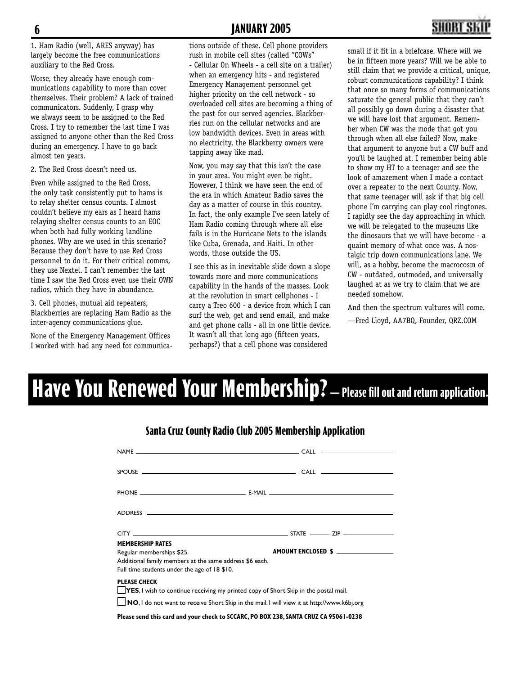1. Ham Radio (well, ARES anyway) has largely become the free communications auxiliary to the Red Cross.

Worse, they already have enough communications capability to more than cover themselves. Their problem? A lack of trained communicators. Suddenly, I grasp why we always seem to be assigned to the Red Cross. I try to remember the last time I was assigned to anyone other than the Red Cross during an emergency. I have to go back almost ten years.

2. The Red Cross doesn't need us.

Even while assigned to the Red Cross, the only task consistently put to hams is to relay shelter census counts. I almost couldn't believe my ears as I heard hams relaying shelter census counts to an EOC when both had fully working landline phones. Why are we used in this scenario? Because they don't have to use Red Cross personnel to do it. For their critical comms, they use Nextel. I can't remember the last time I saw the Red Cross even use their OWN radios, which they have in abundance.

3. Cell phones, mutual aid repeaters, Blackberries are replacing Ham Radio as the inter-agency communications glue.

None of the Emergency Management Offices I worked with had any need for communications outside of these. Cell phone providers rush in mobile cell sites (called "COWs" - Cellular On Wheels - a cell site on a trailer) when an emergency hits - and registered Emergency Management personnel get higher priority on the cell network - so overloaded cell sites are becoming a thing of the past for our served agencies. Blackberries run on the cellular networks and are low bandwidth devices. Even in areas with no electricity, the Blackberry owners were tapping away like mad.

Now, you may say that this isn't the case in your area. You might even be right. However, I think we have seen the end of the era in which Amateur Radio saves the day as a matter of course in this country. In fact, the only example I've seen lately of Ham Radio coming through where all else fails is in the Hurricane Nets to the islands like Cuba, Grenada, and Haiti. In other words, those outside the US.

I see this as in inevitable slide down a slope towards more and more communications capability in the hands of the masses. Look at the revolution in smart cellphones - I carry a Treo 600 - a device from which I can surf the web, get and send email, and make and get phone calls - all in one little device. It wasn't all that long ago (fifteen years, perhaps?) that a cell phone was considered

small if it fit in a briefcase. Where will we be in fifteen more years? Will we be able to still claim that we provide a critical, unique, robust communications capability? I think that once so many forms of communications saturate the general public that they can't all possibly go down during a disaster that we will have lost that argument. Remember when CW was the mode that got you through when all else failed? Now, make that argument to anyone but a CW buff and you'll be laughed at. I remember being able to show my HT to a teenager and see the look of amazement when I made a contact over a repeater to the next County. Now, that same teenager will ask if that big cell phone I'm carrying can play cool ringtones. I rapidly see the day approaching in which we will be relegated to the museums like the dinosaurs that we will have become - a quaint memory of what once was. A nostalgic trip down communications lane. We will, as a hobby, become the macrocosm of CW - outdated, outmoded, and universally laughed at as we try to claim that we are needed somehow.

And then the spectrum vultures will come. —Fred Lloyd, AA7BQ, Founder, QRZ.COM

# Have You Renewed Your Membership? - Please fill out and return application.

| <b>MEMBERSHIP RATES</b><br>Regular memberships \$25.<br>Additional family members at the same address \$6 each.<br>Full time students under the age of 18 \$10.                                                   | AMOUNT ENCLOSED \$ |  |  |  |
|-------------------------------------------------------------------------------------------------------------------------------------------------------------------------------------------------------------------|--------------------|--|--|--|
| <b>PLEASE CHECK</b><br><b>TYES</b> , I wish to continue receiving my printed copy of Short Skip in the postal mail.<br>NO, I do not want to receive Short Skip in the mail. I will view it at http://www.k6bj.org |                    |  |  |  |
| Please send this card and your check to SCCARC, PO BOX 238, SANTA CRUZ CA 95061-0238                                                                                                                              |                    |  |  |  |

#### **Santa Cruz County Radio Club 2005 Membership Application**